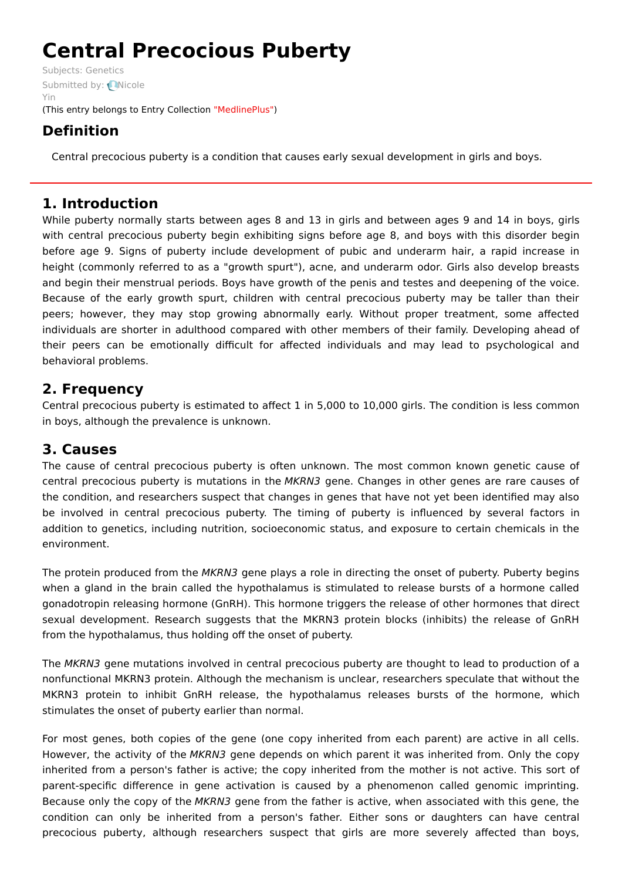# **Central Precocious Puberty**

Subjects: [Genetics](https://encyclopedia.pub/item/subject/56) [Submitted](https://sciprofiles.com/profile/807605) by: Nicole Yin (This entry belongs to Entry Collection ["MedlinePlus"](https://encyclopedia.pub/entry/collection/24))

## **Definition**

Central precocious puberty is a condition that causes early sexual development in girls and boys.

## **1. Introduction**

While puberty normally starts between ages 8 and 13 in girls and between ages 9 and 14 in boys, girls with central precocious puberty begin exhibiting signs before age 8, and boys with this disorder begin before age 9. Signs of puberty include development of pubic and underarm hair, a rapid increase in height (commonly referred to as a "growth spurt"), acne, and underarm odor. Girls also develop breasts and begin their menstrual periods. Boys have growth of the penis and testes and deepening of the voice. Because of the early growth spurt, children with central precocious puberty may be taller than their peers; however, they may stop growing abnormally early. Without proper treatment, some affected individuals are shorter in adulthood compared with other members of their family. Developing ahead of their peers can be emotionally difficult for affected individuals and may lead to psychological and behavioral problems.

## **2. Frequency**

Central precocious puberty is estimated to affect 1 in 5,000 to 10,000 girls. The condition is less common in boys, although the prevalence is unknown.

## **3. Causes**

The cause of central precocious puberty is often unknown. The most common known genetic cause of central precocious puberty is mutations in the MKRN3 gene. Changes in other genes are rare causes of the condition, and researchers suspect that changes in genes that have not yet been identified may also be involved in central precocious puberty. The timing of puberty is influenced by several factors in addition to genetics, including nutrition, socioeconomic status, and exposure to certain chemicals in the environment.

The protein produced from the MKRN3 gene plays a role in directing the onset of puberty. Puberty begins when a gland in the brain called the hypothalamus is stimulated to release bursts of a hormone called gonadotropin releasing hormone (GnRH). This hormone triggers the release of other hormones that direct sexual development. Research suggests that the MKRN3 protein blocks (inhibits) the release of GnRH from the hypothalamus, thus holding off the onset of puberty.

The MKRN3 gene mutations involved in central precocious puberty are thought to lead to production of a nonfunctional MKRN3 protein. Although the mechanism is unclear, researchers speculate that without the MKRN3 protein to inhibit GnRH release, the hypothalamus releases bursts of the hormone, which stimulates the onset of puberty earlier than normal.

For most genes, both copies of the gene (one copy inherited from each parent) are active in all cells. However, the activity of the MKRN3 gene depends on which parent it was inherited from. Only the copy inherited from a person's father is active; the copy inherited from the mother is not active. This sort of parent-specific difference in gene activation is caused by a phenomenon called genomic imprinting. Because only the copy of the MKRN3 gene from the father is active, when associated with this gene, the condition can only be inherited from a person's father. Either sons or daughters can have central precocious puberty, although researchers suspect that girls are more severely affected than boys,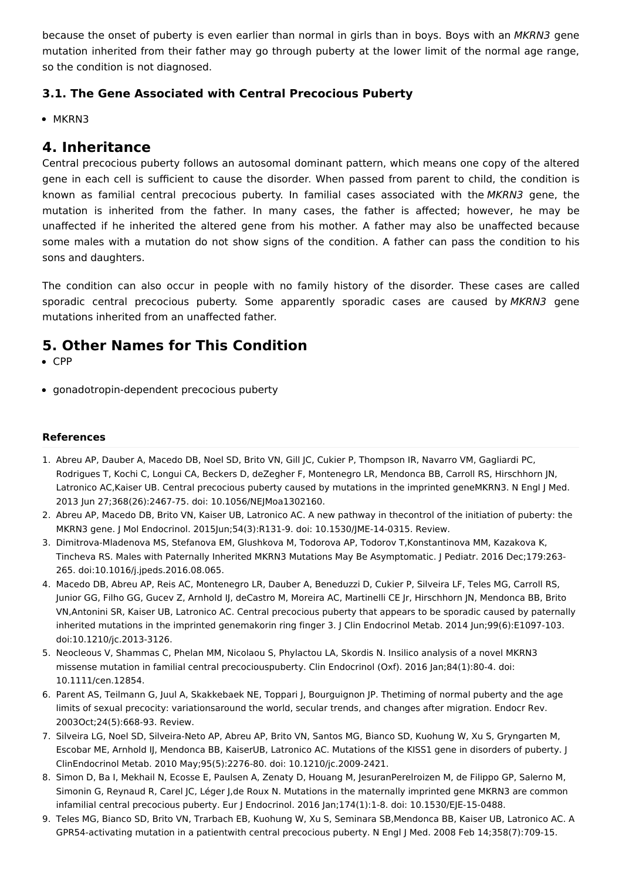because the onset of puberty is even earlier than normal in girls than in boys. Boys with an MKRN3 gene mutation inherited from their father may go through puberty at the lower limit of the normal age range, so the condition is not diagnosed.

#### **3.1. The Gene Associated with Central Precocious Puberty**

• MKRN3

#### **4. Inheritance**

Central precocious puberty follows an autosomal dominant pattern, which means one copy of the altered gene in each cell is sufficient to cause the disorder. When passed from parent to child, the condition is known as familial central precocious puberty. In familial cases associated with the MKRN3 gene, the mutation is inherited from the father. In many cases, the father is affected; however, he may be unaffected if he inherited the altered gene from his mother. A father may also be unaffected because some males with a mutation do not show signs of the condition. A father can pass the condition to his sons and daughters.

The condition can also occur in people with no family history of the disorder. These cases are called sporadic central precocious puberty. Some apparently sporadic cases are caused by MKRN3 gene mutations inherited from an unaffected father.

## **5. Other Names for This Condition**

- CPP
- gonadotropin-dependent precocious puberty

#### **References**

- 1. Abreu AP, Dauber A, Macedo DB, Noel SD, Brito VN, Gill JC, Cukier P, Thompson IR, Navarro VM, Gagliardi PC, Rodrigues T, Kochi C, Longui CA, Beckers D, deZegher F, Montenegro LR, Mendonca BB, Carroll RS, Hirschhorn JN, Latronico AC,Kaiser UB. Central precocious puberty caused by mutations in the imprinted geneMKRN3. N Engl J Med. 2013 Jun 27;368(26):2467-75. doi: 10.1056/NEJMoa1302160.
- 2. Abreu AP, Macedo DB, Brito VN, Kaiser UB, Latronico AC. A new pathway in thecontrol of the initiation of puberty: the MKRN3 gene. J Mol Endocrinol. 2015Jun;54(3):R131-9. doi: 10.1530/JME-14-0315. Review.
- 3. Dimitrova-Mladenova MS, Stefanova EM, Glushkova M, Todorova AP, Todorov T,Konstantinova MM, Kazakova K, Tincheva RS. Males with Paternally Inherited MKRN3 Mutations May Be Asymptomatic. J Pediatr. 2016 Dec;179:263- 265. doi:10.1016/j.jpeds.2016.08.065.
- 4. Macedo DB, Abreu AP, Reis AC, Montenegro LR, Dauber A, Beneduzzi D, Cukier P, Silveira LF, Teles MG, Carroll RS, Junior GG, Filho GG, Gucev Z, Arnhold IJ, deCastro M, Moreira AC, Martinelli CE Jr, Hirschhorn JN, Mendonca BB, Brito VN,Antonini SR, Kaiser UB, Latronico AC. Central precocious puberty that appears to be sporadic caused by paternally inherited mutations in the imprinted genemakorin ring finger 3. J Clin Endocrinol Metab. 2014 Jun;99(6):E1097-103. doi:10.1210/jc.2013-3126.
- 5. Neocleous V, Shammas C, Phelan MM, Nicolaou S, Phylactou LA, Skordis N. Insilico analysis of a novel MKRN3 missense mutation in familial central precociouspuberty. Clin Endocrinol (Oxf). 2016 Jan;84(1):80-4. doi: 10.1111/cen.12854.
- 6. Parent AS, Teilmann G, Juul A, Skakkebaek NE, Toppari J, Bourguignon JP. Thetiming of normal puberty and the age limits of sexual precocity: variationsaround the world, secular trends, and changes after migration. Endocr Rev. 2003Oct;24(5):668-93. Review.
- 7. Silveira LG, Noel SD, Silveira-Neto AP, Abreu AP, Brito VN, Santos MG, Bianco SD, Kuohung W, Xu S, Gryngarten M, Escobar ME, Arnhold IJ, Mendonca BB, KaiserUB, Latronico AC. Mutations of the KISS1 gene in disorders of puberty. J ClinEndocrinol Metab. 2010 May;95(5):2276-80. doi: 10.1210/jc.2009-2421.
- 8. Simon D, Ba I, Mekhail N, Ecosse E, Paulsen A, Zenaty D, Houang M, JesuranPerelroizen M, de Filippo GP, Salerno M, Simonin G, Reynaud R, Carel JC, Léger J,de Roux N. Mutations in the maternally imprinted gene MKRN3 are common infamilial central precocious puberty. Eur J Endocrinol. 2016 Jan;174(1):1-8. doi: 10.1530/EJE-15-0488.
- 9. Teles MG, Bianco SD, Brito VN, Trarbach EB, Kuohung W, Xu S, Seminara SB,Mendonca BB, Kaiser UB, Latronico AC. A GPR54-activating mutation in a patientwith central precocious puberty. N Engl J Med. 2008 Feb 14;358(7):709-15.